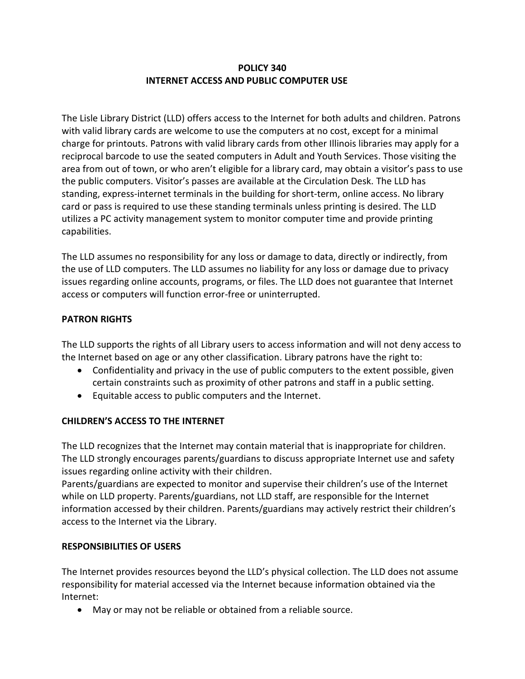# **POLICY 340 INTERNET ACCESS AND PUBLIC COMPUTER USE**

The Lisle Library District (LLD) offers access to the Internet for both adults and children. Patrons with valid library cards are welcome to use the computers at no cost, except for a minimal charge for printouts. Patrons with valid library cards from other Illinois libraries may apply for a reciprocal barcode to use the seated computers in Adult and Youth Services. Those visiting the area from out of town, or who aren't eligible for a library card, may obtain a visitor's pass to use the public computers. Visitor's passes are available at the Circulation Desk. The LLD has standing, express-internet terminals in the building for short-term, online access. No library card or pass is required to use these standing terminals unless printing is desired. The LLD utilizes a PC activity management system to monitor computer time and provide printing capabilities.

The LLD assumes no responsibility for any loss or damage to data, directly or indirectly, from the use of LLD computers. The LLD assumes no liability for any loss or damage due to privacy issues regarding online accounts, programs, or files. The LLD does not guarantee that Internet access or computers will function error-free or uninterrupted.

## **PATRON RIGHTS**

The LLD supports the rights of all Library users to access information and will not deny access to the Internet based on age or any other classification. Library patrons have the right to:

- Confidentiality and privacy in the use of public computers to the extent possible, given certain constraints such as proximity of other patrons and staff in a public setting.
- Equitable access to public computers and the Internet.

## **CHILDREN'S ACCESS TO THE INTERNET**

The LLD recognizes that the Internet may contain material that is inappropriate for children. The LLD strongly encourages parents/guardians to discuss appropriate Internet use and safety issues regarding online activity with their children.

Parents/guardians are expected to monitor and supervise their children's use of the Internet while on LLD property. Parents/guardians, not LLD staff, are responsible for the Internet information accessed by their children. Parents/guardians may actively restrict their children's access to the Internet via the Library.

## **RESPONSIBILITIES OF USERS**

The Internet provides resources beyond the LLD's physical collection. The LLD does not assume responsibility for material accessed via the Internet because information obtained via the Internet:

May or may not be reliable or obtained from a reliable source.